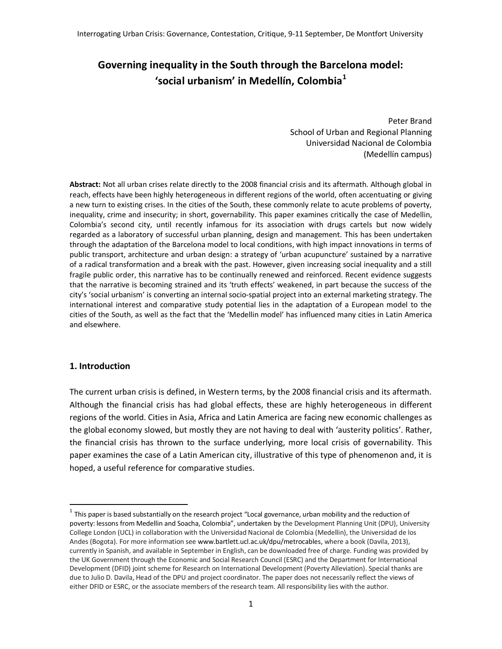# **Governing inequality in the South through the Barcelona model: 'social urbanism' in Medellín, Colombia<sup>1</sup>**

Peter Brand School of Urban and Regional Planning Universidad Nacional de Colombia (Medellín campus)

**Abstract:** Not all urban crises relate directly to the 2008 financial crisis and its aftermath. Although global in reach, effects have been highly heterogeneous in different regions of the world, often accentuating or giving a new turn to existing crises. In the cities of the South, these commonly relate to acute problems of poverty, inequality, crime and insecurity; in short, governability. This paper examines critically the case of Medellin, Colombia's second city, until recently infamous for its association with drugs cartels but now widely regarded as a laboratory of successful urban planning, design and management. This has been undertaken through the adaptation of the Barcelona model to local conditions, with high impact innovations in terms of public transport, architecture and urban design: a strategy of 'urban acupuncture' sustained by a narrative of a radical transformation and a break with the past. However, given increasing social inequality and a still fragile public order, this narrative has to be continually renewed and reinforced. Recent evidence suggests that the narrative is becoming strained and its 'truth effects' weakened, in part because the success of the city's 'social urbanism' is converting an internal socio-spatial project into an external marketing strategy. The international interest and comparative study potential lies in the adaptation of a European model to the cities of the South, as well as the fact that the 'Medellin model' has influenced many cities in Latin America and elsewhere.

## **1. Introduction**

 $\overline{a}$ 

The current urban crisis is defined, in Western terms, by the 2008 financial crisis and its aftermath. Although the financial crisis has had global effects, these are highly heterogeneous in different regions of the world. Cities in Asia, Africa and Latin America are facing new economic challenges as the global economy slowed, but mostly they are not having to deal with 'austerity politics'. Rather, the financial crisis has thrown to the surface underlying, more local crisis of governability. This paper examines the case of a Latin American city, illustrative of this type of phenomenon and, it is hoped, a useful reference for comparative studies.

 $^1$  This paper is based substantially on the research project "Local governance, urban mobility and the reduction of poverty: lessons from Medellin and Soacha, Colombia", undertaken by the Development Planning Unit (DPU), University College London (UCL) in collaboration with the Universidad Nacional de Colombia (Medellin), the Universidad de los Andes (Bogota). For more information se[e www.bartlett.ucl.ac.uk/dpu/metrocables,](http://www.bartlett.ucl.ac.uk/dpu/metrocables) where a book (Davila, 2013), currently in Spanish, and available in September in English, can be downloaded free of charge. Funding was provided by the UK Government through the Economic and Social Research Council (ESRC) and the Department for International Development (DFID) joint scheme for Research on International Development (Poverty Alleviation). Special thanks are due to Julio D. Davila, Head of the DPU and project coordinator. The paper does not necessarily reflect the views of either DFID or ESRC, or the associate members of the research team. All responsibility lies with the author.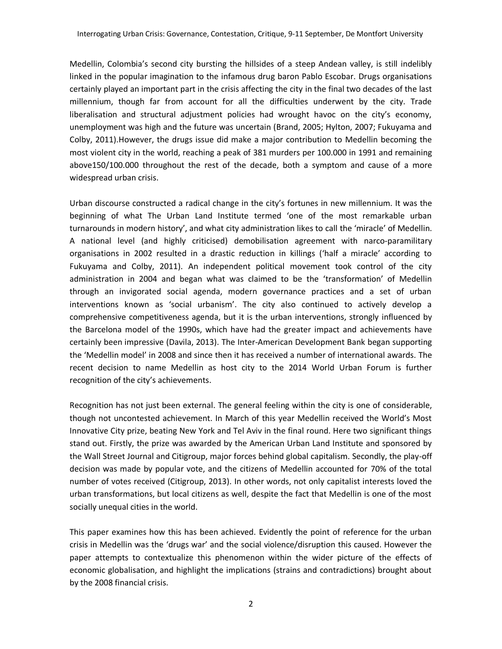Medellin, Colombia's second city bursting the hillsides of a steep Andean valley, is still indelibly linked in the popular imagination to the infamous drug baron Pablo Escobar. Drugs organisations certainly played an important part in the crisis affecting the city in the final two decades of the last millennium, though far from account for all the difficulties underwent by the city. Trade liberalisation and structural adjustment policies had wrought havoc on the city's economy, unemployment was high and the future was uncertain (Brand, 2005; Hylton, 2007; Fukuyama and Colby, 2011).However, the drugs issue did make a major contribution to Medellin becoming the most violent city in the world, reaching a peak of 381 murders per 100.000 in 1991 and remaining above150/100.000 throughout the rest of the decade, both a symptom and cause of a more widespread urban crisis.

Urban discourse constructed a radical change in the city's fortunes in new millennium. It was the beginning of what The Urban Land Institute termed 'one of the most remarkable urban turnarounds in modern history', and what city administration likes to call the 'miracle' of Medellin. A national level (and highly criticised) demobilisation agreement with narco-paramilitary organisations in 2002 resulted in a drastic reduction in killings ('half a miracle' according to Fukuyama and Colby, 2011). An independent political movement took control of the city administration in 2004 and began what was claimed to be the 'transformation' of Medellin through an invigorated social agenda, modern governance practices and a set of urban interventions known as 'social urbanism'. The city also continued to actively develop a comprehensive competitiveness agenda, but it is the urban interventions, strongly influenced by the Barcelona model of the 1990s, which have had the greater impact and achievements have certainly been impressive (Davila, 2013). The Inter-American Development Bank began supporting the 'Medellin model' in 2008 and since then it has received a number of international awards. The recent decision to name Medellin as host city to the 2014 World Urban Forum is further recognition of the city's achievements.

Recognition has not just been external. The general feeling within the city is one of considerable, though not uncontested achievement. In March of this year Medellin received the World's Most Innovative City prize, beating New York and Tel Aviv in the final round. Here two significant things stand out. Firstly, the prize was awarded by the American Urban Land Institute and sponsored by the Wall Street Journal and Citigroup, major forces behind global capitalism. Secondly, the play-off decision was made by popular vote, and the citizens of Medellin accounted for 70% of the total number of votes received (Citigroup, 2013). In other words, not only capitalist interests loved the urban transformations, but local citizens as well, despite the fact that Medellin is one of the most socially unequal cities in the world.

This paper examines how this has been achieved. Evidently the point of reference for the urban crisis in Medellin was the 'drugs war' and the social violence/disruption this caused. However the paper attempts to contextualize this phenomenon within the wider picture of the effects of economic globalisation, and highlight the implications (strains and contradictions) brought about by the 2008 financial crisis.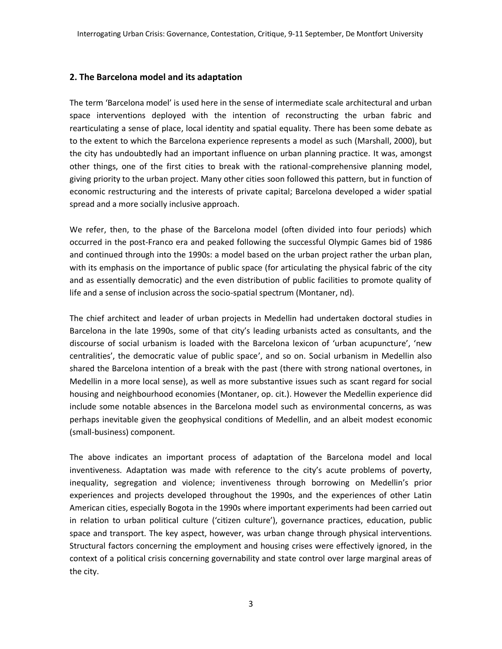## **2. The Barcelona model and its adaptation**

The term 'Barcelona model' is used here in the sense of intermediate scale architectural and urban space interventions deployed with the intention of reconstructing the urban fabric and rearticulating a sense of place, local identity and spatial equality. There has been some debate as to the extent to which the Barcelona experience represents a model as such (Marshall, 2000), but the city has undoubtedly had an important influence on urban planning practice. It was, amongst other things, one of the first cities to break with the rational-comprehensive planning model, giving priority to the urban project. Many other cities soon followed this pattern, but in function of economic restructuring and the interests of private capital; Barcelona developed a wider spatial spread and a more socially inclusive approach.

We refer, then, to the phase of the Barcelona model (often divided into four periods) which occurred in the post-Franco era and peaked following the successful Olympic Games bid of 1986 and continued through into the 1990s: a model based on the urban project rather the urban plan, with its emphasis on the importance of public space (for articulating the physical fabric of the city and as essentially democratic) and the even distribution of public facilities to promote quality of life and a sense of inclusion across the socio-spatial spectrum (Montaner, nd).

The chief architect and leader of urban projects in Medellin had undertaken doctoral studies in Barcelona in the late 1990s, some of that city's leading urbanists acted as consultants, and the discourse of social urbanism is loaded with the Barcelona lexicon of 'urban acupuncture', 'new centralities', the democratic value of public space', and so on. Social urbanism in Medellin also shared the Barcelona intention of a break with the past (there with strong national overtones, in Medellin in a more local sense), as well as more substantive issues such as scant regard for social housing and neighbourhood economies (Montaner, op. cit.). However the Medellin experience did include some notable absences in the Barcelona model such as environmental concerns, as was perhaps inevitable given the geophysical conditions of Medellin, and an albeit modest economic (small-business) component.

The above indicates an important process of adaptation of the Barcelona model and local inventiveness. Adaptation was made with reference to the city's acute problems of poverty, inequality, segregation and violence; inventiveness through borrowing on Medellin's prior experiences and projects developed throughout the 1990s, and the experiences of other Latin American cities, especially Bogota in the 1990s where important experiments had been carried out in relation to urban political culture ('citizen culture'), governance practices, education, public space and transport. The key aspect, however, was urban change through physical interventions. Structural factors concerning the employment and housing crises were effectively ignored, in the context of a political crisis concerning governability and state control over large marginal areas of the city.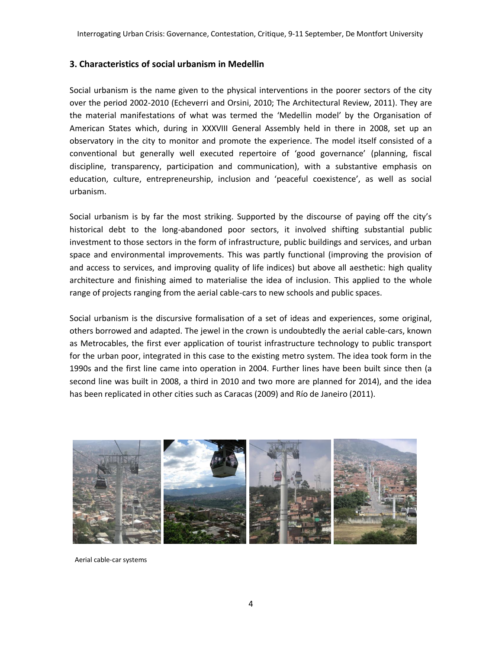#### **3. Characteristics of social urbanism in Medellin**

Social urbanism is the name given to the physical interventions in the poorer sectors of the city over the period 2002-2010 (Echeverri and Orsini, 2010; The Architectural Review, 2011). They are the material manifestations of what was termed the 'Medellin model' by the Organisation of American States which, during in XXXVIII General Assembly held in there in 2008, set up an observatory in the city to monitor and promote the experience. The model itself consisted of a conventional but generally well executed repertoire of 'good governance' (planning, fiscal discipline, transparency, participation and communication), with a substantive emphasis on education, culture, entrepreneurship, inclusion and 'peaceful coexistence', as well as social urbanism.

Social urbanism is by far the most striking. Supported by the discourse of paying off the city's historical debt to the long-abandoned poor sectors, it involved shifting substantial public investment to those sectors in the form of infrastructure, public buildings and services, and urban space and environmental improvements. This was partly functional (improving the provision of and access to services, and improving quality of life indices) but above all aesthetic: high quality architecture and finishing aimed to materialise the idea of inclusion. This applied to the whole range of projects ranging from the aerial cable-cars to new schools and public spaces.

Social urbanism is the discursive formalisation of a set of ideas and experiences, some original, others borrowed and adapted. The jewel in the crown is undoubtedly the aerial cable-cars, known as Metrocables, the first ever application of tourist infrastructure technology to public transport for the urban poor, integrated in this case to the existing metro system. The idea took form in the 1990s and the first line came into operation in 2004. Further lines have been built since then (a second line was built in 2008, a third in 2010 and two more are planned for 2014), and the idea has been replicated in other cities such as Caracas (2009) and Río de Janeiro (2011).



Aerial cable-car systems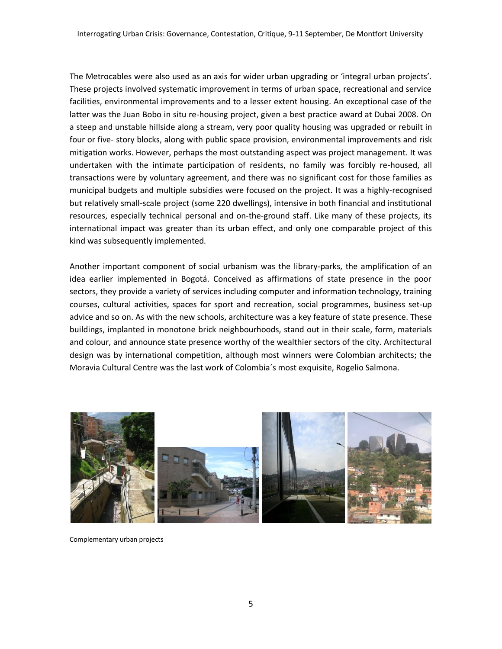The Metrocables were also used as an axis for wider urban upgrading or 'integral urban projects'. These projects involved systematic improvement in terms of urban space, recreational and service facilities, environmental improvements and to a lesser extent housing. An exceptional case of the latter was the Juan Bobo in situ re-housing project, given a best practice award at Dubai 2008. On a steep and unstable hillside along a stream, very poor quality housing was upgraded or rebuilt in four or five- story blocks, along with public space provision, environmental improvements and risk mitigation works. However, perhaps the most outstanding aspect was project management. It was undertaken with the intimate participation of residents, no family was forcibly re-housed, all transactions were by voluntary agreement, and there was no significant cost for those families as municipal budgets and multiple subsidies were focused on the project. It was a highly-recognised but relatively small-scale project (some 220 dwellings), intensive in both financial and institutional resources, especially technical personal and on-the-ground staff. Like many of these projects, its international impact was greater than its urban effect, and only one comparable project of this kind was subsequently implemented.

Another important component of social urbanism was the library-parks, the amplification of an idea earlier implemented in Bogotá. Conceived as affirmations of state presence in the poor sectors, they provide a variety of services including computer and information technology, training courses, cultural activities, spaces for sport and recreation, social programmes, business set-up advice and so on. As with the new schools, architecture was a key feature of state presence. These buildings, implanted in monotone brick neighbourhoods, stand out in their scale, form, materials and colour, and announce state presence worthy of the wealthier sectors of the city. Architectural design was by international competition, although most winners were Colombian architects; the Moravia Cultural Centre was the last work of Colombia´s most exquisite, Rogelio Salmona.



Complementary urban projects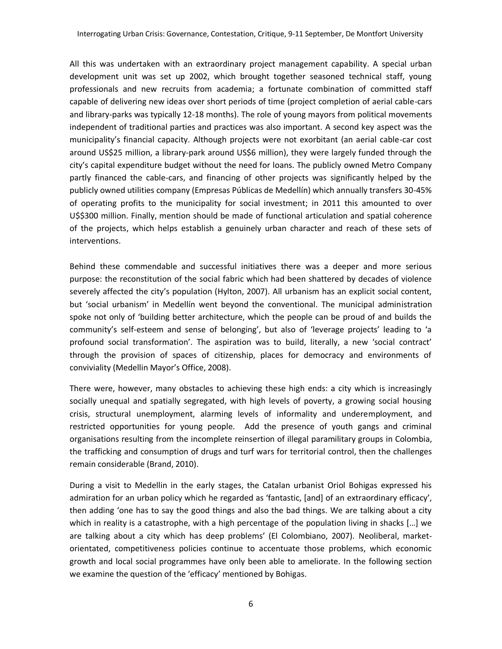All this was undertaken with an extraordinary project management capability. A special urban development unit was set up 2002, which brought together seasoned technical staff, young professionals and new recruits from academia; a fortunate combination of committed staff capable of delivering new ideas over short periods of time (project completion of aerial cable-cars and library-parks was typically 12-18 months). The role of young mayors from political movements independent of traditional parties and practices was also important. A second key aspect was the municipality's financial capacity. Although projects were not exorbitant (an aerial cable-car cost around US\$25 million, a library-park around US\$6 million), they were largely funded through the city's capital expenditure budget without the need for loans. The publicly owned Metro Company partly financed the cable-cars, and financing of other projects was significantly helped by the publicly owned utilities company (Empresas Públicas de Medellín) which annually transfers 30-45% of operating profits to the municipality for social investment; in 2011 this amounted to over U\$\$300 million. Finally, mention should be made of functional articulation and spatial coherence of the projects, which helps establish a genuinely urban character and reach of these sets of interventions.

Behind these commendable and successful initiatives there was a deeper and more serious purpose: the reconstitution of the social fabric which had been shattered by decades of violence severely affected the city's population (Hylton, 2007). All urbanism has an explicit social content, but 'social urbanism' in Medellín went beyond the conventional. The municipal administration spoke not only of 'building better architecture, which the people can be proud of and builds the community's self-esteem and sense of belonging', but also of 'leverage projects' leading to 'a profound social transformation'. The aspiration was to build, literally, a new 'social contract' through the provision of spaces of citizenship, places for democracy and environments of conviviality (Medellin Mayor's Office, 2008).

There were, however, many obstacles to achieving these high ends: a city which is increasingly socially unequal and spatially segregated, with high levels of poverty, a growing social housing crisis, structural unemployment, alarming levels of informality and underemployment, and restricted opportunities for young people. Add the presence of youth gangs and criminal organisations resulting from the incomplete reinsertion of illegal paramilitary groups in Colombia, the trafficking and consumption of drugs and turf wars for territorial control, then the challenges remain considerable (Brand, 2010).

During a visit to Medellin in the early stages, the Catalan urbanist Oriol Bohigas expressed his admiration for an urban policy which he regarded as 'fantastic, [and] of an extraordinary efficacy', then adding 'one has to say the good things and also the bad things. We are talking about a city which in reality is a catastrophe, with a high percentage of the population living in shacks […] we are talking about a city which has deep problems' (El Colombiano, 2007). Neoliberal, marketorientated, competitiveness policies continue to accentuate those problems, which economic growth and local social programmes have only been able to ameliorate. In the following section we examine the question of the 'efficacy' mentioned by Bohigas.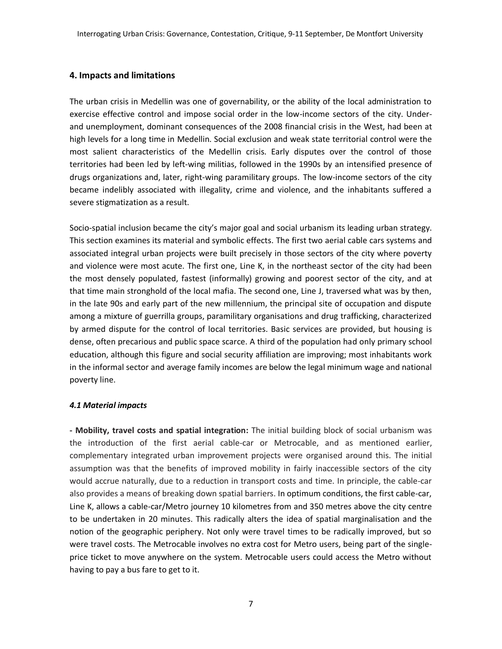## **4. Impacts and limitations**

The urban crisis in Medellin was one of governability, or the ability of the local administration to exercise effective control and impose social order in the low-income sectors of the city. Underand unemployment, dominant consequences of the 2008 financial crisis in the West, had been at high levels for a long time in Medellin. Social exclusion and weak state territorial control were the most salient characteristics of the Medellin crisis. Early disputes over the control of those territories had been led by left-wing militias, followed in the 1990s by an intensified presence of drugs organizations and, later, right-wing paramilitary groups. The low-income sectors of the city became indelibly associated with illegality, crime and violence, and the inhabitants suffered a severe stigmatization as a result.

Socio-spatial inclusion became the city's major goal and social urbanism its leading urban strategy. This section examines its material and symbolic effects. The first two aerial cable cars systems and associated integral urban projects were built precisely in those sectors of the city where poverty and violence were most acute. The first one, Line K, in the northeast sector of the city had been the most densely populated, fastest (informally) growing and poorest sector of the city, and at that time main stronghold of the local mafia. The second one, Line J, traversed what was by then, in the late 90s and early part of the new millennium, the principal site of occupation and dispute among a mixture of guerrilla groups, paramilitary organisations and drug trafficking, characterized by armed dispute for the control of local territories. Basic services are provided, but housing is dense, often precarious and public space scarce. A third of the population had only primary school education, although this figure and social security affiliation are improving; most inhabitants work in the informal sector and average family incomes are below the legal minimum wage and national poverty line.

## *4.1 Material impacts*

**- Mobility, travel costs and spatial integration:** The initial building block of social urbanism was the introduction of the first aerial cable-car or Metrocable, and as mentioned earlier, complementary integrated urban improvement projects were organised around this. The initial assumption was that the benefits of improved mobility in fairly inaccessible sectors of the city would accrue naturally, due to a reduction in transport costs and time. In principle, the cable-car also provides a means of breaking down spatial barriers. In optimum conditions, the first cable-car, Line K, allows a cable-car/Metro journey 10 kilometres from and 350 metres above the city centre to be undertaken in 20 minutes. This radically alters the idea of spatial marginalisation and the notion of the geographic periphery. Not only were travel times to be radically improved, but so were travel costs. The Metrocable involves no extra cost for Metro users, being part of the singleprice ticket to move anywhere on the system. Metrocable users could access the Metro without having to pay a bus fare to get to it.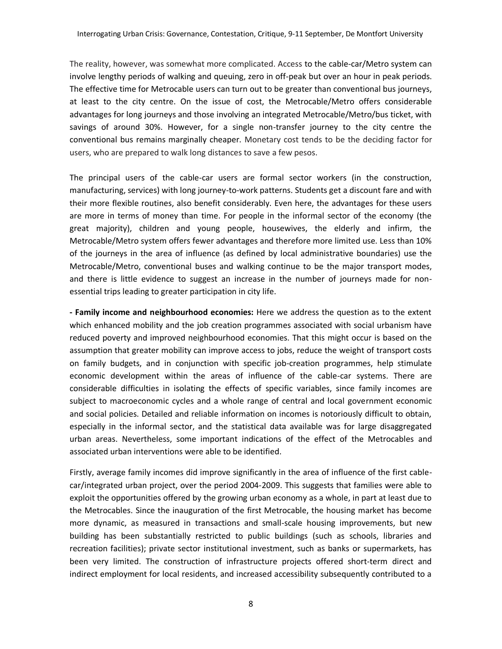The reality, however, was somewhat more complicated. Access to the cable-car/Metro system can involve lengthy periods of walking and queuing, zero in off-peak but over an hour in peak periods. The effective time for Metrocable users can turn out to be greater than conventional bus journeys, at least to the city centre. On the issue of cost, the Metrocable/Metro offers considerable advantages for long journeys and those involving an integrated Metrocable/Metro/bus ticket, with savings of around 30%. However, for a single non-transfer journey to the city centre the conventional bus remains marginally cheaper. Monetary cost tends to be the deciding factor for users, who are prepared to walk long distances to save a few pesos.

The principal users of the cable-car users are formal sector workers (in the construction, manufacturing, services) with long journey-to-work patterns. Students get a discount fare and with their more flexible routines, also benefit considerably. Even here, the advantages for these users are more in terms of money than time. For people in the informal sector of the economy (the great majority), children and young people, housewives, the elderly and infirm, the Metrocable/Metro system offers fewer advantages and therefore more limited use. Less than 10% of the journeys in the area of influence (as defined by local administrative boundaries) use the Metrocable/Metro, conventional buses and walking continue to be the major transport modes, and there is little evidence to suggest an increase in the number of journeys made for nonessential trips leading to greater participation in city life.

**- Family income and neighbourhood economies:** Here we address the question as to the extent which enhanced mobility and the job creation programmes associated with social urbanism have reduced poverty and improved neighbourhood economies. That this might occur is based on the assumption that greater mobility can improve access to jobs, reduce the weight of transport costs on family budgets, and in conjunction with specific job-creation programmes, help stimulate economic development within the areas of influence of the cable-car systems. There are considerable difficulties in isolating the effects of specific variables, since family incomes are subject to macroeconomic cycles and a whole range of central and local government economic and social policies. Detailed and reliable information on incomes is notoriously difficult to obtain, especially in the informal sector, and the statistical data available was for large disaggregated urban areas. Nevertheless, some important indications of the effect of the Metrocables and associated urban interventions were able to be identified.

Firstly, average family incomes did improve significantly in the area of influence of the first cablecar/integrated urban project, over the period 2004-2009. This suggests that families were able to exploit the opportunities offered by the growing urban economy as a whole, in part at least due to the Metrocables. Since the inauguration of the first Metrocable, the housing market has become more dynamic, as measured in transactions and small-scale housing improvements, but new building has been substantially restricted to public buildings (such as schools, libraries and recreation facilities); private sector institutional investment, such as banks or supermarkets, has been very limited. The construction of infrastructure projects offered short-term direct and indirect employment for local residents, and increased accessibility subsequently contributed to a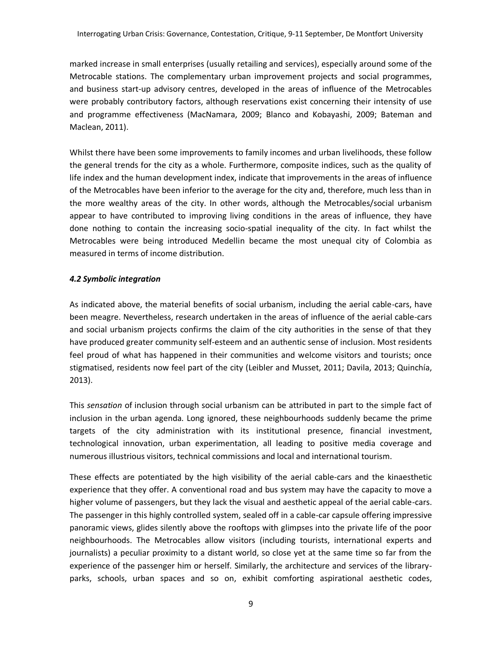marked increase in small enterprises (usually retailing and services), especially around some of the Metrocable stations. The complementary urban improvement projects and social programmes, and business start-up advisory centres, developed in the areas of influence of the Metrocables were probably contributory factors, although reservations exist concerning their intensity of use and programme effectiveness (MacNamara, 2009; Blanco and Kobayashi, 2009; Bateman and Maclean, 2011).

Whilst there have been some improvements to family incomes and urban livelihoods, these follow the general trends for the city as a whole. Furthermore, composite indices, such as the quality of life index and the human development index, indicate that improvements in the areas of influence of the Metrocables have been inferior to the average for the city and, therefore, much less than in the more wealthy areas of the city. In other words, although the Metrocables/social urbanism appear to have contributed to improving living conditions in the areas of influence, they have done nothing to contain the increasing socio-spatial inequality of the city. In fact whilst the Metrocables were being introduced Medellin became the most unequal city of Colombia as measured in terms of income distribution.

# *4.2 Symbolic integration*

As indicated above, the material benefits of social urbanism, including the aerial cable-cars, have been meagre. Nevertheless, research undertaken in the areas of influence of the aerial cable-cars and social urbanism projects confirms the claim of the city authorities in the sense of that they have produced greater community self-esteem and an authentic sense of inclusion. Most residents feel proud of what has happened in their communities and welcome visitors and tourists; once stigmatised, residents now feel part of the city (Leibler and Musset, 2011; Davila, 2013; Quinchía, 2013).

This *sensation* of inclusion through social urbanism can be attributed in part to the simple fact of inclusion in the urban agenda. Long ignored, these neighbourhoods suddenly became the prime targets of the city administration with its institutional presence, financial investment, technological innovation, urban experimentation, all leading to positive media coverage and numerous illustrious visitors, technical commissions and local and international tourism.

These effects are potentiated by the high visibility of the aerial cable-cars and the kinaesthetic experience that they offer. A conventional road and bus system may have the capacity to move a higher volume of passengers, but they lack the visual and aesthetic appeal of the aerial cable-cars. The passenger in this highly controlled system, sealed off in a cable-car capsule offering impressive panoramic views, glides silently above the rooftops with glimpses into the private life of the poor neighbourhoods. The Metrocables allow visitors (including tourists, international experts and journalists) a peculiar proximity to a distant world, so close yet at the same time so far from the experience of the passenger him or herself. Similarly, the architecture and services of the libraryparks, schools, urban spaces and so on, exhibit comforting aspirational aesthetic codes,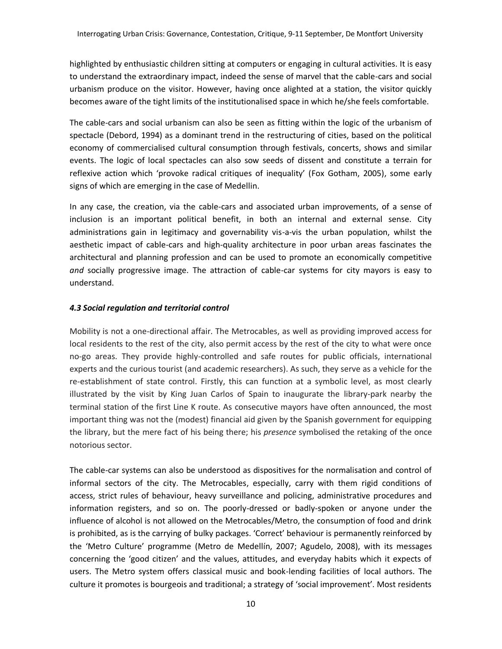highlighted by enthusiastic children sitting at computers or engaging in cultural activities. It is easy to understand the extraordinary impact, indeed the sense of marvel that the cable-cars and social urbanism produce on the visitor. However, having once alighted at a station, the visitor quickly becomes aware of the tight limits of the institutionalised space in which he/she feels comfortable.

The cable-cars and social urbanism can also be seen as fitting within the logic of the urbanism of spectacle (Debord, 1994) as a dominant trend in the restructuring of cities, based on the political economy of commercialised cultural consumption through festivals, concerts, shows and similar events. The logic of local spectacles can also sow seeds of dissent and constitute a terrain for reflexive action which 'provoke radical critiques of inequality' (Fox Gotham, 2005), some early signs of which are emerging in the case of Medellin.

In any case, the creation, via the cable-cars and associated urban improvements, of a sense of inclusion is an important political benefit, in both an internal and external sense. City administrations gain in legitimacy and governability vis-a-vis the urban population, whilst the aesthetic impact of cable-cars and high-quality architecture in poor urban areas fascinates the architectural and planning profession and can be used to promote an economically competitive *and* socially progressive image. The attraction of cable-car systems for city mayors is easy to understand.

# *4.3 Social regulation and territorial control*

Mobility is not a one-directional affair. The Metrocables, as well as providing improved access for local residents to the rest of the city, also permit access by the rest of the city to what were once no-go areas. They provide highly-controlled and safe routes for public officials, international experts and the curious tourist (and academic researchers). As such, they serve as a vehicle for the re-establishment of state control. Firstly, this can function at a symbolic level, as most clearly illustrated by the visit by King Juan Carlos of Spain to inaugurate the library-park nearby the terminal station of the first Line K route. As consecutive mayors have often announced, the most important thing was not the (modest) financial aid given by the Spanish government for equipping the library, but the mere fact of his being there; his *presence* symbolised the retaking of the once notorious sector.

The cable-car systems can also be understood as dispositives for the normalisation and control of informal sectors of the city. The Metrocables, especially, carry with them rigid conditions of access, strict rules of behaviour, heavy surveillance and policing, administrative procedures and information registers, and so on. The poorly-dressed or badly-spoken or anyone under the influence of alcohol is not allowed on the Metrocables/Metro, the consumption of food and drink is prohibited, as is the carrying of bulky packages. 'Correct' behaviour is permanently reinforced by the 'Metro Culture' programme (Metro de Medellín, 2007; Agudelo, 2008), with its messages concerning the 'good citizen' and the values, attitudes, and everyday habits which it expects of users. The Metro system offers classical music and book-lending facilities of local authors. The culture it promotes is bourgeois and traditional; a strategy of 'social improvement'. Most residents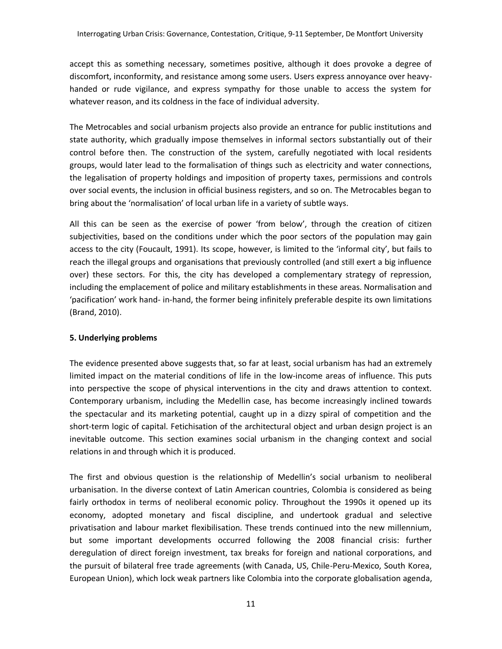accept this as something necessary, sometimes positive, although it does provoke a degree of discomfort, inconformity, and resistance among some users. Users express annoyance over heavyhanded or rude vigilance, and express sympathy for those unable to access the system for whatever reason, and its coldness in the face of individual adversity.

The Metrocables and social urbanism projects also provide an entrance for public institutions and state authority, which gradually impose themselves in informal sectors substantially out of their control before then. The construction of the system, carefully negotiated with local residents groups, would later lead to the formalisation of things such as electricity and water connections, the legalisation of property holdings and imposition of property taxes, permissions and controls over social events, the inclusion in official business registers, and so on. The Metrocables began to bring about the 'normalisation' of local urban life in a variety of subtle ways.

All this can be seen as the exercise of power 'from below', through the creation of citizen subjectivities, based on the conditions under which the poor sectors of the population may gain access to the city (Foucault, 1991). Its scope, however, is limited to the 'informal city', but fails to reach the illegal groups and organisations that previously controlled (and still exert a big influence over) these sectors. For this, the city has developed a complementary strategy of repression, including the emplacement of police and military establishments in these areas. Normalisation and 'pacification' work hand- in-hand, the former being infinitely preferable despite its own limitations (Brand, 2010).

# **5. Underlying problems**

The evidence presented above suggests that, so far at least, social urbanism has had an extremely limited impact on the material conditions of life in the low-income areas of influence. This puts into perspective the scope of physical interventions in the city and draws attention to context. Contemporary urbanism, including the Medellin case, has become increasingly inclined towards the spectacular and its marketing potential, caught up in a dizzy spiral of competition and the short-term logic of capital. Fetichisation of the architectural object and urban design project is an inevitable outcome. This section examines social urbanism in the changing context and social relations in and through which it is produced.

The first and obvious question is the relationship of Medellin's social urbanism to neoliberal urbanisation. In the diverse context of Latin American countries, Colombia is considered as being fairly orthodox in terms of neoliberal economic policy. Throughout the 1990s it opened up its economy, adopted monetary and fiscal discipline, and undertook gradual and selective privatisation and labour market flexibilisation. These trends continued into the new millennium, but some important developments occurred following the 2008 financial crisis: further deregulation of direct foreign investment, tax breaks for foreign and national corporations, and the pursuit of bilateral free trade agreements (with Canada, US, Chile-Peru-Mexico, South Korea, European Union), which lock weak partners like Colombia into the corporate globalisation agenda,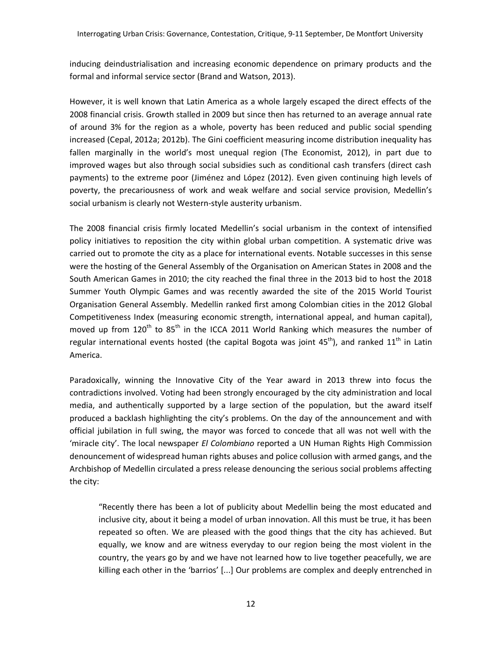inducing deindustrialisation and increasing economic dependence on primary products and the formal and informal service sector (Brand and Watson, 2013).

However, it is well known that Latin America as a whole largely escaped the direct effects of the 2008 financial crisis. Growth stalled in 2009 but since then has returned to an average annual rate of around 3% for the region as a whole, poverty has been reduced and public social spending increased (Cepal, 2012a; 2012b). The Gini coefficient measuring income distribution inequality has fallen marginally in the world's most unequal region (The Economist, 2012), in part due to improved wages but also through social subsidies such as conditional cash transfers (direct cash payments) to the extreme poor (Jiménez and López (2012). Even given continuing high levels of poverty, the precariousness of work and weak welfare and social service provision, Medellin's social urbanism is clearly not Western-style austerity urbanism.

The 2008 financial crisis firmly located Medellin's social urbanism in the context of intensified policy initiatives to reposition the city within global urban competition. A systematic drive was carried out to promote the city as a place for international events. Notable successes in this sense were the hosting of the General Assembly of the Organisation on American States in 2008 and the South American Games in 2010; the city reached the final three in the 2013 bid to host the 2018 Summer Youth Olympic Games and was recently awarded the site of the 2015 World Tourist Organisation General Assembly. Medellin ranked first among Colombian cities in the 2012 Global Competitiveness Index (measuring economic strength, international appeal, and human capital), moved up from  $120^{th}$  to  $85^{th}$  in the ICCA 2011 World Ranking which measures the number of regular international events hosted (the capital Bogota was joint  $45<sup>th</sup>$ ), and ranked  $11<sup>th</sup>$  in Latin America.

Paradoxically, winning the Innovative City of the Year award in 2013 threw into focus the contradictions involved. Voting had been strongly encouraged by the city administration and local media, and authentically supported by a large section of the population, but the award itself produced a backlash highlighting the city's problems. On the day of the announcement and with official jubilation in full swing, the mayor was forced to concede that all was not well with the 'miracle city'. The local newspaper *El Colombiano* reported a UN Human Rights High Commission denouncement of widespread human rights abuses and police collusion with armed gangs, and the Archbishop of Medellin circulated a press release denouncing the serious social problems affecting the city:

"Recently there has been a lot of publicity about Medellin being the most educated and inclusive city, about it being a model of urban innovation. All this must be true, it has been repeated so often. We are pleased with the good things that the city has achieved. But equally, we know and are witness everyday to our region being the most violent in the country, the years go by and we have not learned how to live together peacefully, we are killing each other in the 'barrios' [...] Our problems are complex and deeply entrenched in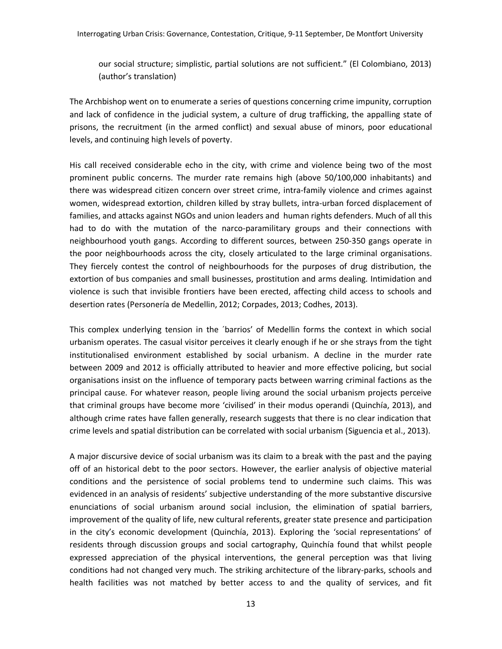our social structure; simplistic, partial solutions are not sufficient." (El Colombiano, 2013) (author's translation)

The Archbishop went on to enumerate a series of questions concerning crime impunity, corruption and lack of confidence in the judicial system, a culture of drug trafficking, the appalling state of prisons, the recruitment (in the armed conflict) and sexual abuse of minors, poor educational levels, and continuing high levels of poverty.

His call received considerable echo in the city, with crime and violence being two of the most prominent public concerns. The murder rate remains high (above 50/100,000 inhabitants) and there was widespread citizen concern over street crime, intra-family violence and crimes against women, widespread extortion, children killed by stray bullets, intra-urban forced displacement of families, and attacks against NGOs and union leaders and human rights defenders. Much of all this had to do with the mutation of the narco-paramilitary groups and their connections with neighbourhood youth gangs. According to different sources, between 250-350 gangs operate in the poor neighbourhoods across the city, closely articulated to the large criminal organisations. They fiercely contest the control of neighbourhoods for the purposes of drug distribution, the extortion of bus companies and small businesses, prostitution and arms dealing. Intimidation and violence is such that invisible frontiers have been erected, affecting child access to schools and desertion rates (Personería de Medellin, 2012; Corpades, 2013; Codhes, 2013).

This complex underlying tension in the ´barrios' of Medellin forms the context in which social urbanism operates. The casual visitor perceives it clearly enough if he or she strays from the tight institutionalised environment established by social urbanism. A decline in the murder rate between 2009 and 2012 is officially attributed to heavier and more effective policing, but social organisations insist on the influence of temporary pacts between warring criminal factions as the principal cause. For whatever reason, people living around the social urbanism projects perceive that criminal groups have become more 'civilised' in their modus operandi (Quinchía, 2013), and although crime rates have fallen generally, research suggests that there is no clear indication that crime levels and spatial distribution can be correlated with social urbanism (Siguencia et al., 2013).

A major discursive device of social urbanism was its claim to a break with the past and the paying off of an historical debt to the poor sectors. However, the earlier analysis of objective material conditions and the persistence of social problems tend to undermine such claims. This was evidenced in an analysis of residents' subjective understanding of the more substantive discursive enunciations of social urbanism around social inclusion, the elimination of spatial barriers, improvement of the quality of life, new cultural referents, greater state presence and participation in the city's economic development (Quinchía, 2013). Exploring the 'social representations' of residents through discussion groups and social cartography, Quinchía found that whilst people expressed appreciation of the physical interventions, the general perception was that living conditions had not changed very much. The striking architecture of the library-parks, schools and health facilities was not matched by better access to and the quality of services, and fit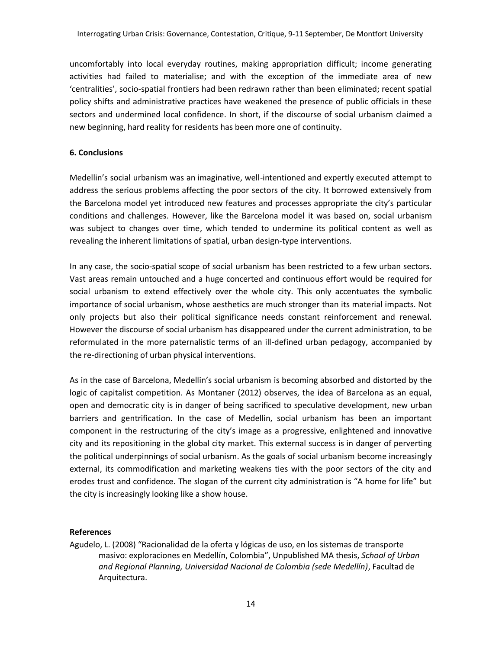uncomfortably into local everyday routines, making appropriation difficult; income generating activities had failed to materialise; and with the exception of the immediate area of new 'centralities', socio-spatial frontiers had been redrawn rather than been eliminated; recent spatial policy shifts and administrative practices have weakened the presence of public officials in these sectors and undermined local confidence. In short, if the discourse of social urbanism claimed a new beginning, hard reality for residents has been more one of continuity.

## **6. Conclusions**

Medellin's social urbanism was an imaginative, well-intentioned and expertly executed attempt to address the serious problems affecting the poor sectors of the city. It borrowed extensively from the Barcelona model yet introduced new features and processes appropriate the city's particular conditions and challenges. However, like the Barcelona model it was based on, social urbanism was subject to changes over time, which tended to undermine its political content as well as revealing the inherent limitations of spatial, urban design-type interventions.

In any case, the socio-spatial scope of social urbanism has been restricted to a few urban sectors. Vast areas remain untouched and a huge concerted and continuous effort would be required for social urbanism to extend effectively over the whole city. This only accentuates the symbolic importance of social urbanism, whose aesthetics are much stronger than its material impacts. Not only projects but also their political significance needs constant reinforcement and renewal. However the discourse of social urbanism has disappeared under the current administration, to be reformulated in the more paternalistic terms of an ill-defined urban pedagogy, accompanied by the re-directioning of urban physical interventions.

As in the case of Barcelona, Medellin's social urbanism is becoming absorbed and distorted by the logic of capitalist competition. As Montaner (2012) observes, the idea of Barcelona as an equal, open and democratic city is in danger of being sacrificed to speculative development, new urban barriers and gentrification. In the case of Medellin, social urbanism has been an important component in the restructuring of the city's image as a progressive, enlightened and innovative city and its repositioning in the global city market. This external success is in danger of perverting the political underpinnings of social urbanism. As the goals of social urbanism become increasingly external, its commodification and marketing weakens ties with the poor sectors of the city and erodes trust and confidence. The slogan of the current city administration is "A home for life" but the city is increasingly looking like a show house.

## **References**

Agudelo, L. (2008) "Racionalidad de la oferta y lógicas de uso, en los sistemas de transporte masivo: exploraciones en Medellín, Colombia", Unpublished MA thesis, *School of Urban and Regional Planning, Universidad Nacional de Colombia (sede Medellín)*, Facultad de Arquitectura.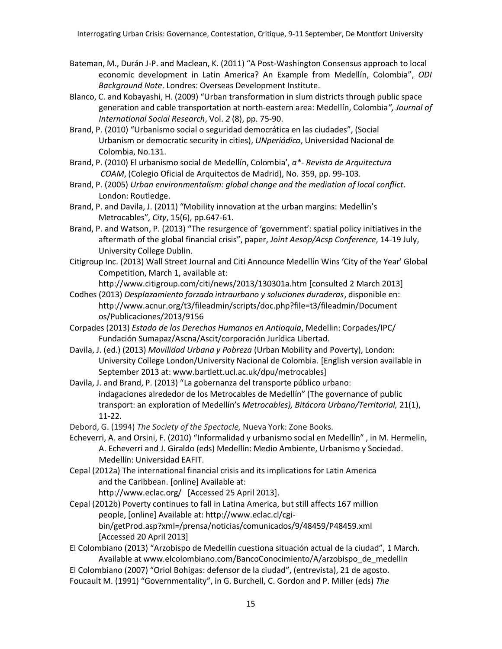- Bateman, M., Durán J-P. and Maclean, K. (2011) "A Post-Washington Consensus approach to local economic development in Latin America? An Example from Medellín, Colombia", *ODI Background Note*. Londres: Overseas Development Institute.
- Blanco, C. and Kobayashi, H. (2009) "Urban transformation in slum districts through public space generation and cable transportation at north-eastern area: Medellín, Colombia*", Journal of International Social Research*, Vol. *2* (8), pp. 75-90.
- Brand, P. (2010) "Urbanismo social o seguridad democrática en las ciudades", (Social Urbanism or democratic security in cities), *UNperiódico*, Universidad Nacional de Colombia, No.131.
- Brand, P. (2010) El urbanismo social de Medellín, Colombia', *a\*- Revista de Arquitectura COAM*, (Colegio Oficial de Arquitectos de Madrid), No. 359, pp. 99-103.
- Brand, P. (2005) *Urban environmentalism: global change and the mediation of local conflict*. London: Routledge.
- Brand, P. and Davila, J. (2011) "Mobility innovation at the urban margins: Medellin's Metrocables"*, City*, 15(6), pp.647-61.
- Brand, P. and Watson, P. (2013) "The resurgence of 'government': spatial policy initiatives in the aftermath of the global financial crisis", paper, *Joint Aesop/Acsp Conference*, 14-19 July, University College Dublin.
- Citigroup Inc. (2013) Wall Street Journal and Citi Announce Medellín Wins 'City of the Year' Global Competition, March 1, available at:

<http://www.citigroup.com/citi/news/2013/130301a.htm> [consulted 2 March 2013]

- Codhes (2013) *Desplazamiento forzado intraurbano y soluciones duraderas*, disponible en: http://www.acnur.org/t3/fileadmin/scripts/doc.php?file=t3/fileadmin/Document os/Publicaciones/2013/9156
- Corpades (2013) *Estado de los Derechos Humanos en Antioquia*, Medellin: Corpades/IPC/ Fundación Sumapaz/Ascna/Ascit/corporación Jurídica Libertad.
- Davila, J. (ed.) (2013) *Movilidad Urbana y Pobreza* (Urban Mobility and Poverty), London: University College London/University Nacional de Colombia. [English version available in September 2013 at: [www.bartlett.](http://www.bartlett/)ucl.ac.uk/dpu/metrocables]
- Davila, J. and Brand, P. (2013) "La gobernanza del transporte público urbano: indagaciones alrededor de los Metrocables de Medellín" (The governance of public transport: an exploration of Medellín's *Metrocables), Bitácora Urbano/Territorial,* 21(1), 11-22.
- Debord, G. (1994) *The Society of the Spectacle,* Nueva York: Zone Books.
- Echeverri, A. and Orsini, F. (2010) "Informalidad y urbanismo social en Medellín" , in M. Hermelin, A. Echeverri and J. Giraldo (eds) Medellín: Medio Ambiente, Urbanismo y Sociedad. Medellín: Universidad EAFIT.
- Cepal (2012a) The international financial crisis and its implications for Latin America and the Caribbean. [online] Available at:
	- [http://www.eclac.org/ \[](http://www.eclac.org/)Accessed 25 April 2013].
- Cepal (2012b) Poverty continues to fall in Latina America, but still affects 167 million people, [online] Available at: [http://www.eclac.cl/cgi](ttp://www.eclac.cl/cgi-b)[bi](ttp://www.eclac.cl/cgi-b)n/getProd.asp?xml=/prensa/noticias/comunicados/9/48459/P48459.xml [Accessed 20 April 2013]
- El Colombiano (2013) "Arzobispo de Medellín cuestiona situación actual de la ciudad", 1 March. Available at www.elcolombiano.com/BancoConocimiento/A/arzobispo\_de\_medellin
- El Colombiano (2007) "Oriol Bohigas: defensor de la ciudad", (entrevista), 21 de agosto. Foucault M. (1991) "Governmentality", in G. Burchell, C. Gordon and P. Miller (eds) *The*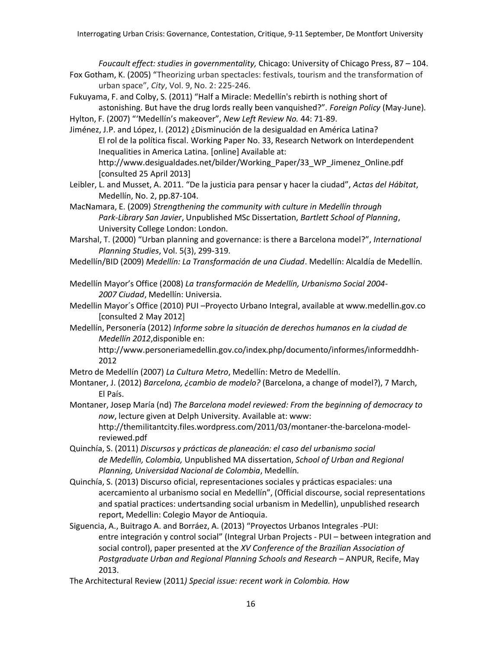*Foucault effect: studies in governmentality,* Chicago: University of Chicago Press, 87 – 104. Fox Gotham, K. (2005) "Theorizing urban spectacles: festivals, tourism and the transformation of urban space", *City*, Vol. 9, No. 2: 225-246.

Fukuyama, F. and Colby, S. (2011) "Half a Miracle: Medellín's rebirth is nothing short of astonishing. But have the drug lords really been vanquished?". *Foreign Policy* (May-June).

Hylton, F. (2007) "'Medellín's makeover", *New Left Review No.* 44: 71-89.

- Jiménez, J.P. and López, I. (2012) ¿Disminución de la desigualdad en América Latina? El rol de la política fiscal. Working Paper No. 33, Research Network on Interdependent Inequalities in America Latina. [online] Available at: [http://www.desigualdades.net/bilder/Working\\_Paper/33\\_WP\\_Jimenez\\_Online.pdf](http://www.desigualdades.net/bilder/Working_Paper/33_WP_Jimenez_Online.pdf)  [consulted 25 April 2013]
- Leibler, L. and Musset, A. 2011. "De la justicia para pensar y hacer la ciudad", *Actas del Hábitat*, Medellín, No. 2, pp.87-104.
- MacNamara, E. (2009) *Strengthening the community with culture in Medellín through Park-Library San Javier*, Unpublished MSc Dissertation, *Bartlett School of Planning*, University College London: London.
- Marshal, T. (2000) "Urban planning and governance: is there a Barcelona model?", *International Planning Studies*, Vol. 5(3), 299-319.
- Medellín/BID (2009) *Medellín: La Transformación de una Ciudad*. Medellín: Alcaldía de Medellín.
- Medellín Mayor's Office (2008) *La transformación de Medellín, Urbanismo Social 2004- 2007 Ciudad*, Medellín: Universia.
- Medellin Mayor´s Office (2010) PUI –Proyecto Urbano Integral, available at www.medellin.gov.co [consulted 2 May 2012]
- Medellín, Personería (2012) *Informe sobre la situación de derechos humanos en la ciudad de Medellín 2012*,disponible en:

Metro de Medellín (2007) *La Cultura Metro*, Medellín: Metro de Medellín.

- Montaner, J. (2012) *Barcelona, ¿cambio de modelo?* (Barcelona, a change of model?), 7 March, El País.
- Montaner, Josep María (nd) *The Barcelona model reviewed: From the beginning of democracy to now*, lecture given at Delph University. Available at: www: [http://themilitantcity.files.wordpress.com/2011/03/montaner-the-barcelona-model](http://themilitantcity.files.wordpress.com/2011/03/montaner-the-barcelona-model-reviewed.pdf)[reviewed.pdf](http://themilitantcity.files.wordpress.com/2011/03/montaner-the-barcelona-model-reviewed.pdf)
- Quinchía, S. (2011) *Discursos y prácticas de planeación: el caso del urbanismo social de Medellín, Colombia,* Unpublished MA dissertation, *School of Urban and Regional Planning, Universidad Nacional de Colombia*, Medellín.
- Quinchía, S. (2013) Discurso oficial, representaciones sociales y prácticas espaciales: una acercamiento al urbanismo social en Medellín", (Official discourse, social representations and spatial practices: undertsanding social urbanism in Medellin), unpublished research report, Medellin: Colegio Mayor de Antioquia.
- Siguencia, A., Buitrago A. and Borráez, A. (2013) "Proyectos Urbanos Integrales -PUI: entre integración y control social" (Integral Urban Projects - PUI – between integration and social control), paper presented at the *XV Conference of the Brazilian Association of Postgraduate Urban and Regional Planning Schools and Research* – ANPUR, Recife, May 2013.
- The Architectural Review (2011*) Special issue: recent work in Colombia. How*

http://www.personeriamedellin.gov.co/index.php/documento/informes/informeddhh-2012